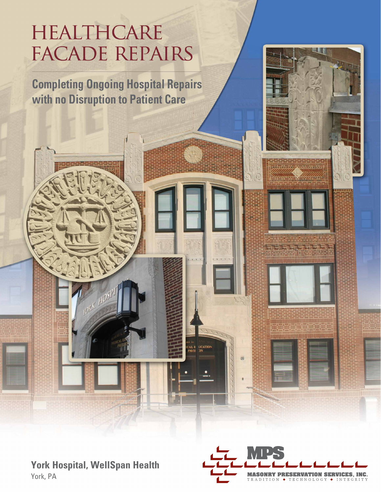# HEALTHCARE **FACADE REPAIRS**

**Completing Ongoing Hospital Repairs** with no Disruption to Patient Care



min min min huhutu huhutu huhutu 亚亚西西西西西西西 

**SHALL AND ARRANGEMENT OF THE CONTRACTOR** 

AL E LICATION



<u> 1999 - Johann Stone, amerikansk politiker (d. 1989)</u>

YORK HOSPI